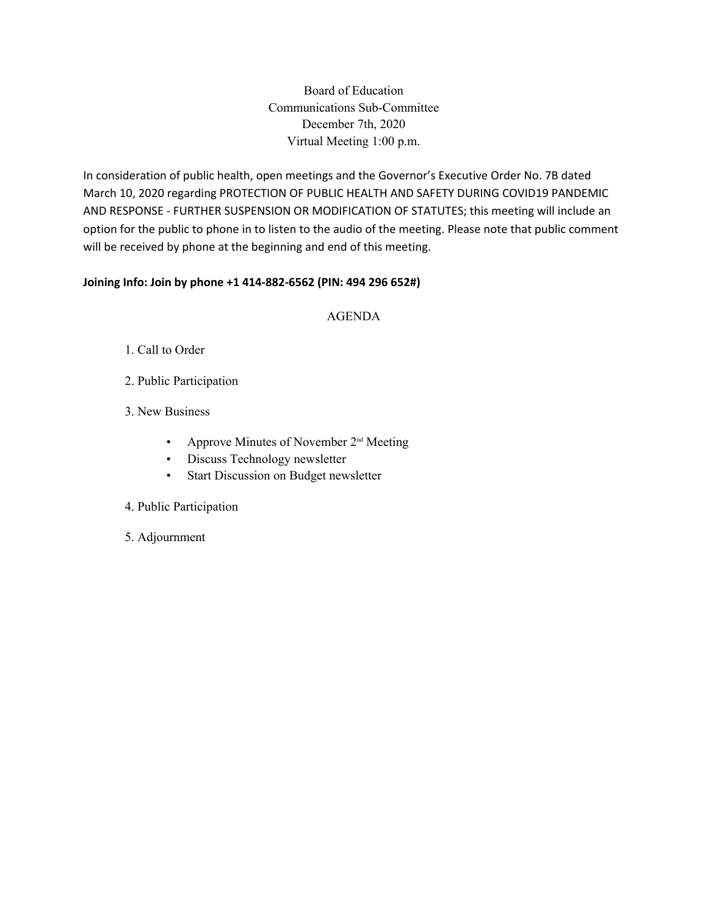Board of Education Communications Sub-Committee December 7th, 2020 Virtual Meeting 1:00 p.m.

In consideration of public health, open meetings and the Governor's Executive Order No. 7B dated March 10, 2020 regarding PROTECTION OF PUBLIC HEALTH AND SAFETY DURING COVID19 PANDEMIC AND RESPONSE - FURTHER SUSPENSION OR MODIFICATION OF STATUTES; this meeting will include an option for the public to phone in to listen to the audio of the meeting. Please note that public comment will be received by phone at the beginning and end of this meeting.

## **Joining Info: Join by phone +1 414-882-6562 (PIN: 494 296 652#)**

## AGENDA

- 1. Call to Order
- 2. Public Participation
- 3. New Business
	- Approve Minutes of November  $2<sup>nd</sup>$  Meeting
	- Discuss Technology newsletter
	- Start Discussion on Budget newsletter
- 4. Public Participation
- 5. Adjournment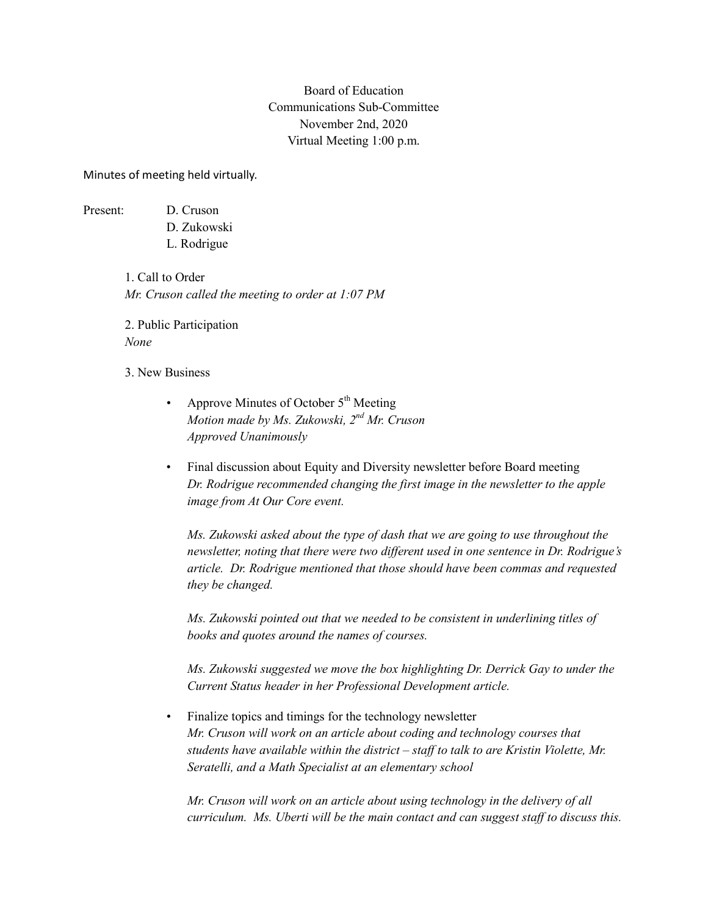## Board of Education Communications Sub-Committee November 2nd, 2020 Virtual Meeting 1:00 p.m.

Minutes of meeting held virtually.

Present: D. Cruson

D. Zukowski L. Rodrigue

1. Call to Order *Mr. Cruson called the meeting to order at 1:07 PM*

2. Public Participation *None*

3. New Business

- Approve Minutes of October 5<sup>th</sup> Meeting *Motion made by Ms. Zukowski, 2nd Mr. Cruson Approved Unanimously*
- Final discussion about Equity and Diversity newsletter before Board meeting *Dr. Rodrigue recommended changing the first image in the newsletter to the apple image from At Our Core event.*

*Ms. Zukowski asked about the type of dash that we are going to use throughout the newsletter, noting that there were two different used in one sentence in Dr. Rodrigue's article. Dr. Rodrigue mentioned that those should have been commas and requested they be changed.*

*Ms. Zukowski pointed out that we needed to be consistent in underlining titles of books and quotes around the names of courses.*

*Ms. Zukowski suggested we move the box highlighting Dr. Derrick Gay to under the Current Status header in her Professional Development article.*

• Finalize topics and timings for the technology newsletter *Mr. Cruson will work on an article about coding and technology courses that students have available within the district – staff to talk to are Kristin Violette, Mr. Seratelli, and a Math Specialist at an elementary school*

*Mr. Cruson will work on an article about using technology in the delivery of all curriculum. Ms. Uberti will be the main contact and can suggest staff to discuss this.*